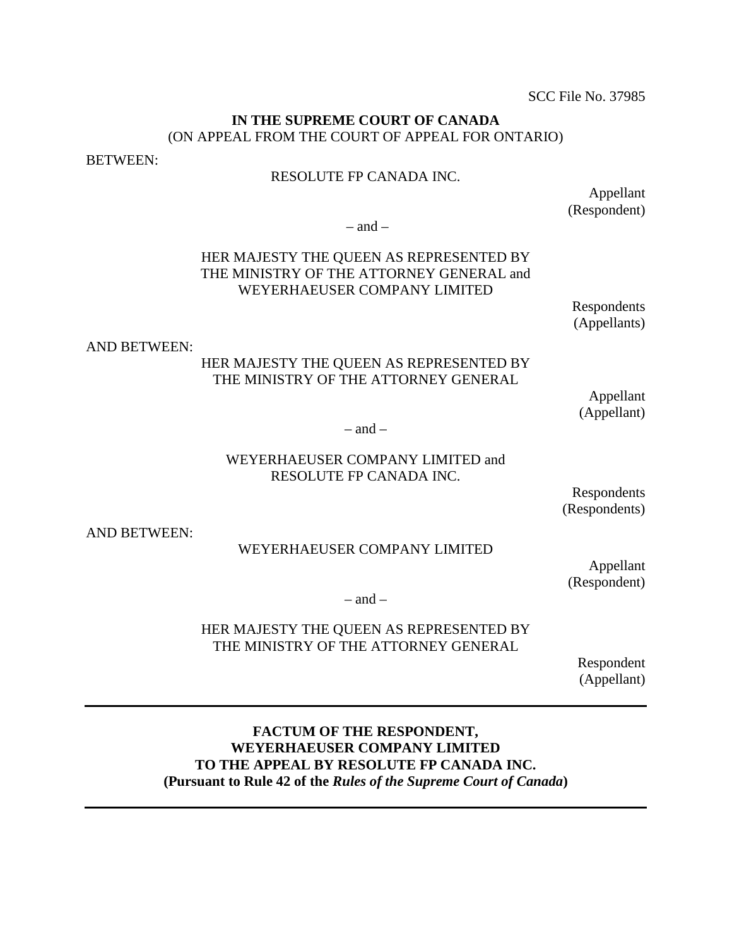SCC File No. 37985

#### **IN THE SUPREME COURT OF CANADA** (ON APPEAL FROM THE COURT OF APPEAL FOR ONTARIO)

BETWEEN:

### RESOLUTE FP CANADA INC.

Appellant (Respondent)

 $-$  and  $-$ 

## HER MAJESTY THE QUEEN AS REPRESENTED BY THE MINISTRY OF THE ATTORNEY GENERAL and WEYERHAEUSER COMPANY LIMITED

Respondents (Appellants)

AND BETWEEN:

### HER MAJESTY THE QUEEN AS REPRESENTED BY THE MINISTRY OF THE ATTORNEY GENERAL

Appellant (Appellant)

 $-$  and  $-$ 

### WEYERHAEUSER COMPANY LIMITED and RESOLUTE FP CANADA INC.

Respondents (Respondents)

AND BETWEEN:

#### WEYERHAEUSER COMPANY LIMITED

Appellant (Respondent)

 $-$  and  $-$ 

### HER MAJESTY THE QUEEN AS REPRESENTED BY THE MINISTRY OF THE ATTORNEY GENERAL

Respondent (Appellant)

### **FACTUM OF THE RESPONDENT, WEYERHAEUSER COMPANY LIMITED TO THE APPEAL BY RESOLUTE FP CANADA INC. (Pursuant to Rule 42 of the** *Rules of the Supreme Court of Canada***)**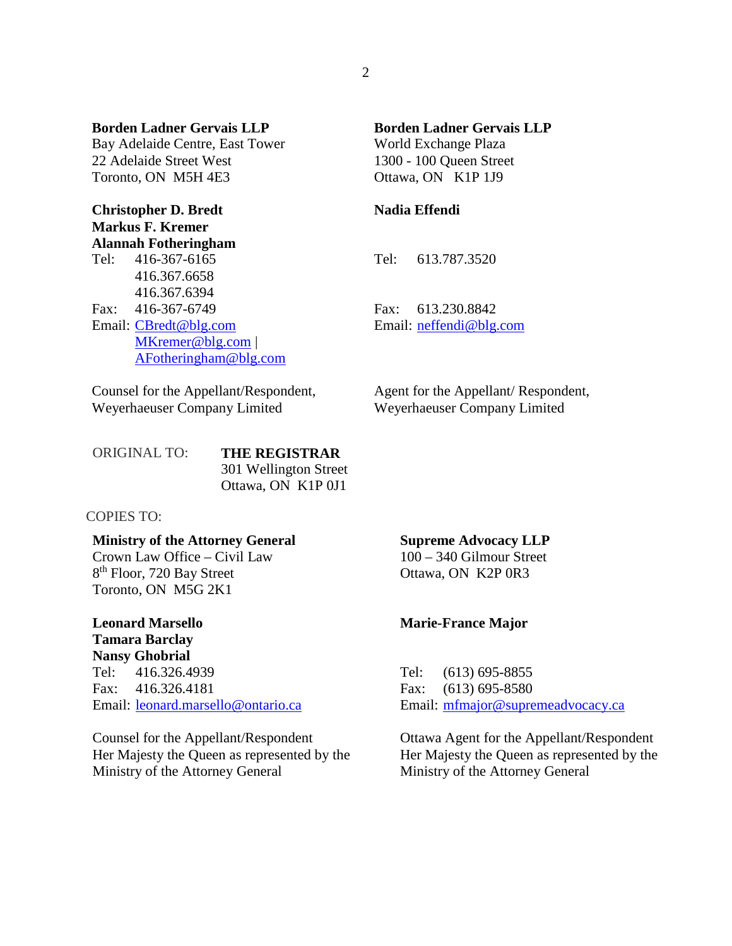**Borden Ladner Gervais LLP** Bay Adelaide Centre, East Tower 22 Adelaide Street West Toronto, ON M5H 4E3

**Christopher D. Bredt Markus F. Kremer Alannah Fotheringham**

Tel: 416-367-6165 416.367.6658 416.367.6394 Fax: 416-367-6749 Email: [CBredt@blg.com](mailto:CBredt@blg.com) [MKremer@blg.com](mailto:MKremer@blg.com) | [AFotheringham@blg.com](mailto:AFotheringham@blg.com)

Counsel for the Appellant/Respondent, Weyerhaeuser Company Limited

## **Borden Ladner Gervais LLP**

World Exchange Plaza 1300 - 100 Queen Street Ottawa, ON K1P 1J9

#### **Nadia Effendi**

Tel: 613.787.3520

Fax: 613.230.8842 Email: [neffendi@blg.com](mailto:neffendi@blg.com)

Agent for the Appellant/ Respondent, Weyerhaeuser Company Limited

| <b>ORIGINAL TO:</b> | <b>THE REGISTRAR</b>  |  |  |
|---------------------|-----------------------|--|--|
|                     | 301 Wellington Street |  |  |
|                     | Ottawa, ON K1P 0J1    |  |  |

COPIES TO:

#### **Ministry of the Attorney General**

Crown Law Office – Civil Law 8<sup>th</sup> Floor, 720 Bay Street Toronto, ON M5G 2K1

#### **Leonard Marsello Tamara Barclay**

**Nansy Ghobrial** Tel: 416.326.4939 Fax: 416.326.4181 Email: [leonard.marsello@ontario.ca](mailto:leonard.marsello@ontario.ca)

Counsel for the Appellant/Respondent Her Majesty the Queen as represented by the Ministry of the Attorney General

#### **Supreme Advocacy LLP**

100 – 340 Gilmour Street Ottawa, ON K2P 0R3

#### **Marie-France Major**

Tel: (613) 695-8855 Fax: (613) 695-8580 Email: [mfmajor@supremeadvocacy.ca](mailto:mfmajor@supremeadvocacy.ca)

Ottawa Agent for the Appellant/Respondent Her Majesty the Queen as represented by the Ministry of the Attorney General

2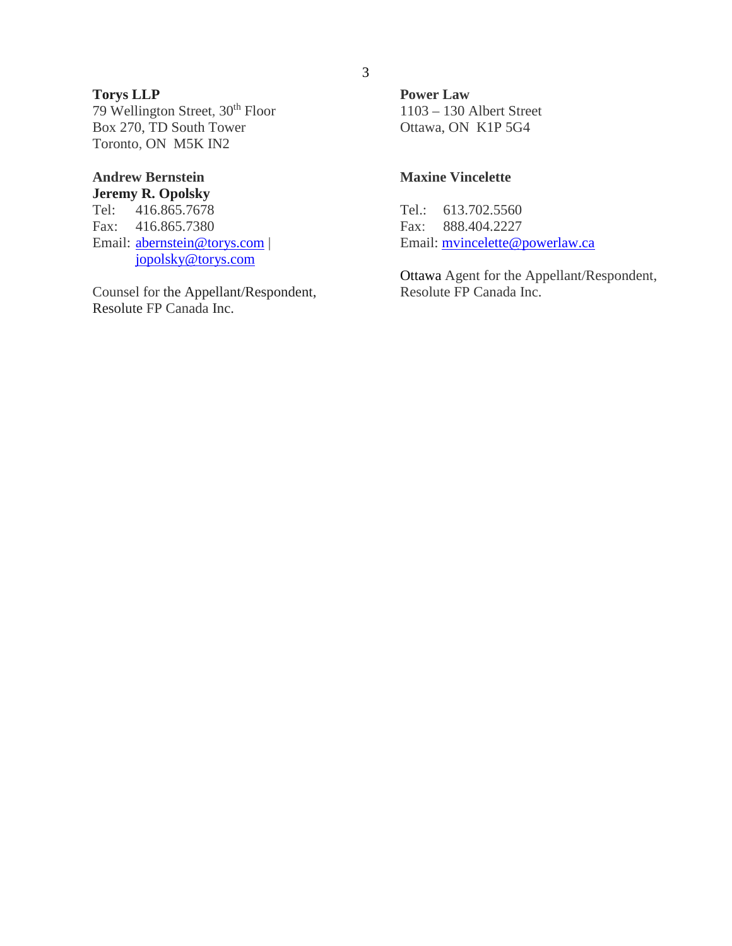# **Torys LLP**

79 Wellington Street, 30th Floor Box 270, TD South Tower Toronto, ON M5K IN2

#### **Andrew Bernstein Jeremy R. Opolsky**

Tel: 416.865.7678 Fax: 416.865.7380 Email: [abernstein@torys.c](mailto:csmith@torys.com)[om |](mailto:jopolsky@torys.com)  jopolsky@torys.com

Counsel for the Appellant/Respondent, Resolute FP Canada Inc.

**Power Law**  1103 – 130 Albert Street Ottawa, ON K1P 5G4

### **Maxine Vincelette**

Tel.: 613.702.5560 Fax: 888.404.2227 Email: [mvincelette@powerlaw.ca](mailto:mvincelette@powerlaw.ca)

Ottawa Agent for the Appellant/Respondent, Resolute FP Canada Inc.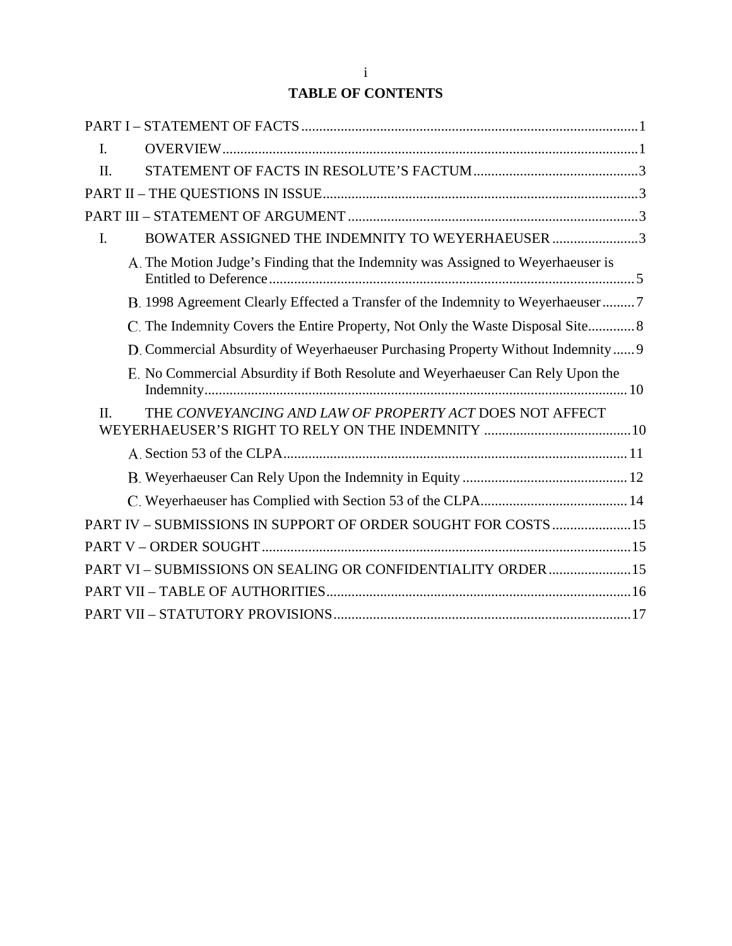# **TABLE OF CONTENTS**

| $\mathbf{I}$ . |                                                                                  |
|----------------|----------------------------------------------------------------------------------|
| $\Pi$ .        |                                                                                  |
|                |                                                                                  |
|                |                                                                                  |
| $\mathbf{I}$ . | BOWATER ASSIGNED THE INDEMNITY TO WEYERHAEUSER 3                                 |
|                | A. The Motion Judge's Finding that the Indemnity was Assigned to Weyerhaeuser is |
|                | B. 1998 Agreement Clearly Effected a Transfer of the Indemnity to Weyerhaeuser7  |
|                | C. The Indemnity Covers the Entire Property, Not Only the Waste Disposal Site 8  |
|                | D. Commercial Absurdity of Weyerhaeuser Purchasing Property Without Indemnity 9  |
|                | E. No Commercial Absurdity if Both Resolute and Weyerhaeuser Can Rely Upon the   |
| $\Pi$ .        | THE CONVEYANCING AND LAW OF PROPERTY ACT DOES NOT AFFECT                         |
|                |                                                                                  |
|                |                                                                                  |
|                |                                                                                  |
|                | PART IV - SUBMISSIONS IN SUPPORT OF ORDER SOUGHT FOR COSTS  15                   |
|                |                                                                                  |
|                | PART VI - SUBMISSIONS ON SEALING OR CONFIDENTIALITY ORDER  15                    |
|                |                                                                                  |
|                |                                                                                  |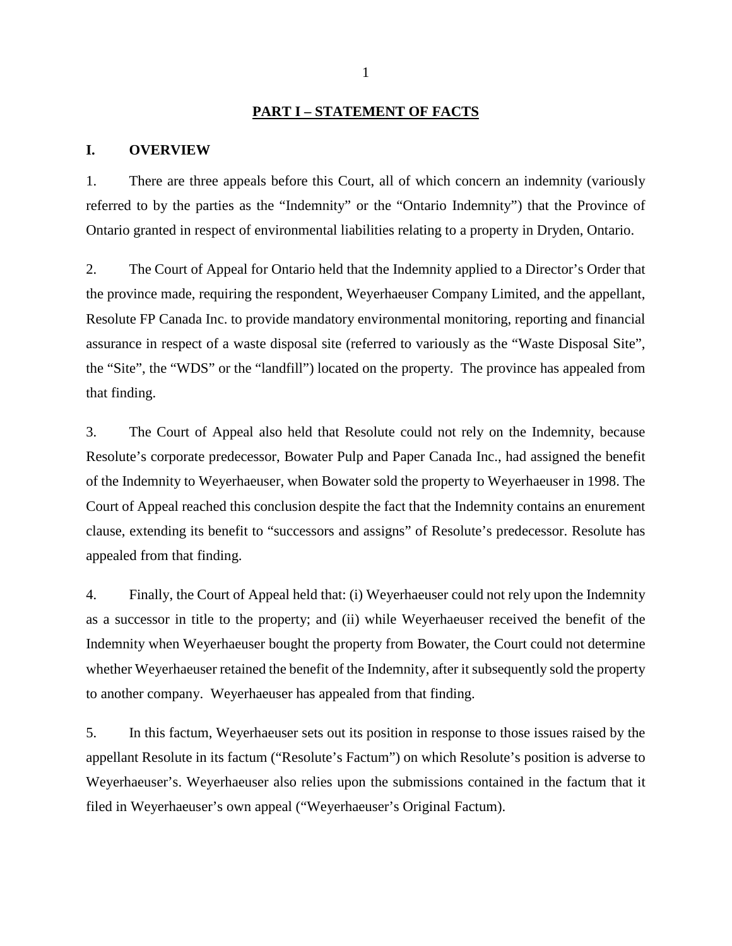#### **PART I – STATEMENT OF FACTS**

#### <span id="page-4-1"></span><span id="page-4-0"></span>**I. OVERVIEW**

1. There are three appeals before this Court, all of which concern an indemnity (variously referred to by the parties as the "Indemnity" or the "Ontario Indemnity") that the Province of Ontario granted in respect of environmental liabilities relating to a property in Dryden, Ontario.

2. The Court of Appeal for Ontario held that the Indemnity applied to a Director's Order that the province made, requiring the respondent, Weyerhaeuser Company Limited, and the appellant, Resolute FP Canada Inc. to provide mandatory environmental monitoring, reporting and financial assurance in respect of a waste disposal site (referred to variously as the "Waste Disposal Site", the "Site", the "WDS" or the "landfill") located on the property. The province has appealed from that finding.

3. The Court of Appeal also held that Resolute could not rely on the Indemnity, because Resolute's corporate predecessor, Bowater Pulp and Paper Canada Inc., had assigned the benefit of the Indemnity to Weyerhaeuser, when Bowater sold the property to Weyerhaeuser in 1998. The Court of Appeal reached this conclusion despite the fact that the Indemnity contains an enurement clause, extending its benefit to "successors and assigns" of Resolute's predecessor. Resolute has appealed from that finding.

4. Finally, the Court of Appeal held that: (i) Weyerhaeuser could not rely upon the Indemnity as a successor in title to the property; and (ii) while Weyerhaeuser received the benefit of the Indemnity when Weyerhaeuser bought the property from Bowater, the Court could not determine whether Weyerhaeuser retained the benefit of the Indemnity, after it subsequently sold the property to another company. Weyerhaeuser has appealed from that finding.

5. In this factum, Weyerhaeuser sets out its position in response to those issues raised by the appellant Resolute in its factum ("Resolute's Factum") on which Resolute's position is adverse to Weyerhaeuser's. Weyerhaeuser also relies upon the submissions contained in the factum that it filed in Weyerhaeuser's own appeal ("Weyerhaeuser's Original Factum).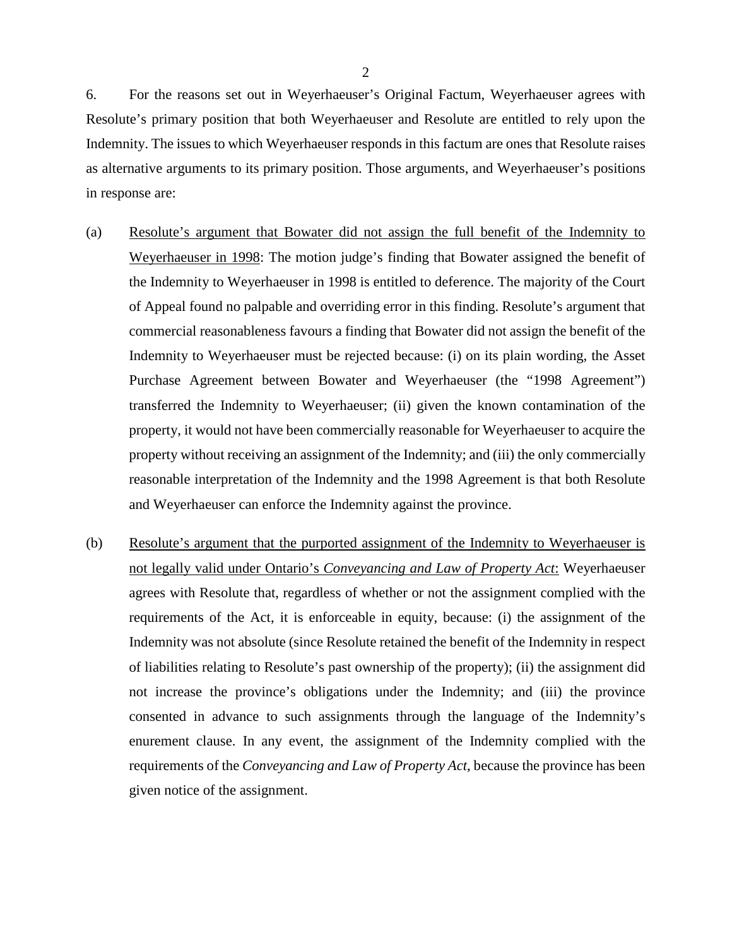6. For the reasons set out in Weyerhaeuser's Original Factum, Weyerhaeuser agrees with Resolute's primary position that both Weyerhaeuser and Resolute are entitled to rely upon the Indemnity. The issues to which Weyerhaeuser responds in this factum are ones that Resolute raises as alternative arguments to its primary position. Those arguments, and Weyerhaeuser's positions in response are:

- (a) Resolute's argument that Bowater did not assign the full benefit of the Indemnity to Weyerhaeuser in 1998: The motion judge's finding that Bowater assigned the benefit of the Indemnity to Weyerhaeuser in 1998 is entitled to deference. The majority of the Court of Appeal found no palpable and overriding error in this finding. Resolute's argument that commercial reasonableness favours a finding that Bowater did not assign the benefit of the Indemnity to Weyerhaeuser must be rejected because: (i) on its plain wording, the Asset Purchase Agreement between Bowater and Weyerhaeuser (the "1998 Agreement") transferred the Indemnity to Weyerhaeuser; (ii) given the known contamination of the property, it would not have been commercially reasonable for Weyerhaeuser to acquire the property without receiving an assignment of the Indemnity; and (iii) the only commercially reasonable interpretation of the Indemnity and the 1998 Agreement is that both Resolute and Weyerhaeuser can enforce the Indemnity against the province.
- (b) Resolute's argument that the purported assignment of the Indemnity to Weyerhaeuser is not legally valid under Ontario's *Conveyancing and Law of Property Act*: Weyerhaeuser agrees with Resolute that, regardless of whether or not the assignment complied with the requirements of the Act, it is enforceable in equity, because: (i) the assignment of the Indemnity was not absolute (since Resolute retained the benefit of the Indemnity in respect of liabilities relating to Resolute's past ownership of the property); (ii) the assignment did not increase the province's obligations under the Indemnity; and (iii) the province consented in advance to such assignments through the language of the Indemnity's enurement clause. In any event, the assignment of the Indemnity complied with the requirements of the *Conveyancing and Law of Property Act*, because the province has been given notice of the assignment.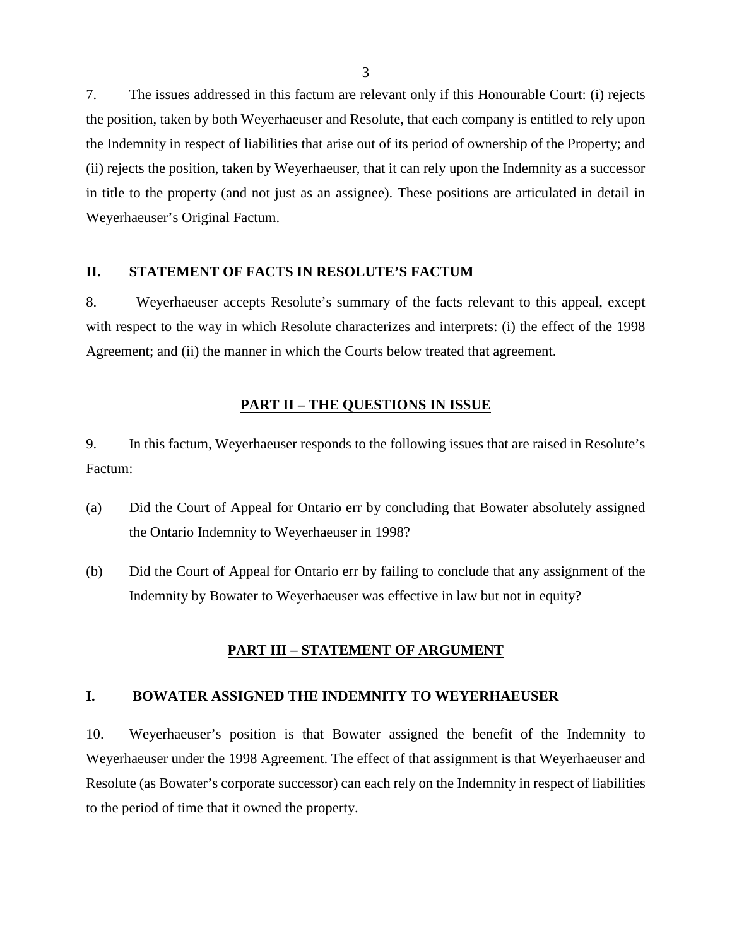7. The issues addressed in this factum are relevant only if this Honourable Court: (i) rejects the position, taken by both Weyerhaeuser and Resolute, that each company is entitled to rely upon the Indemnity in respect of liabilities that arise out of its period of ownership of the Property; and (ii) rejects the position, taken by Weyerhaeuser, that it can rely upon the Indemnity as a successor in title to the property (and not just as an assignee). These positions are articulated in detail in Weyerhaeuser's Original Factum.

#### <span id="page-6-0"></span>**II. STATEMENT OF FACTS IN RESOLUTE'S FACTUM**

8. Weyerhaeuser accepts Resolute's summary of the facts relevant to this appeal, except with respect to the way in which Resolute characterizes and interprets: (i) the effect of the 1998 Agreement; and (ii) the manner in which the Courts below treated that agreement.

### **PART II – THE QUESTIONS IN ISSUE**

<span id="page-6-1"></span>9. In this factum, Weyerhaeuser responds to the following issues that are raised in Resolute's Factum:

- (a) Did the Court of Appeal for Ontario err by concluding that Bowater absolutely assigned the Ontario Indemnity to Weyerhaeuser in 1998?
- <span id="page-6-2"></span>(b) Did the Court of Appeal for Ontario err by failing to conclude that any assignment of the Indemnity by Bowater to Weyerhaeuser was effective in law but not in equity?

### **PART III – STATEMENT OF ARGUMENT**

#### <span id="page-6-3"></span>**I. BOWATER ASSIGNED THE INDEMNITY TO WEYERHAEUSER**

10. Weyerhaeuser's position is that Bowater assigned the benefit of the Indemnity to Weyerhaeuser under the 1998 Agreement. The effect of that assignment is that Weyerhaeuser and Resolute (as Bowater's corporate successor) can each rely on the Indemnity in respect of liabilities to the period of time that it owned the property.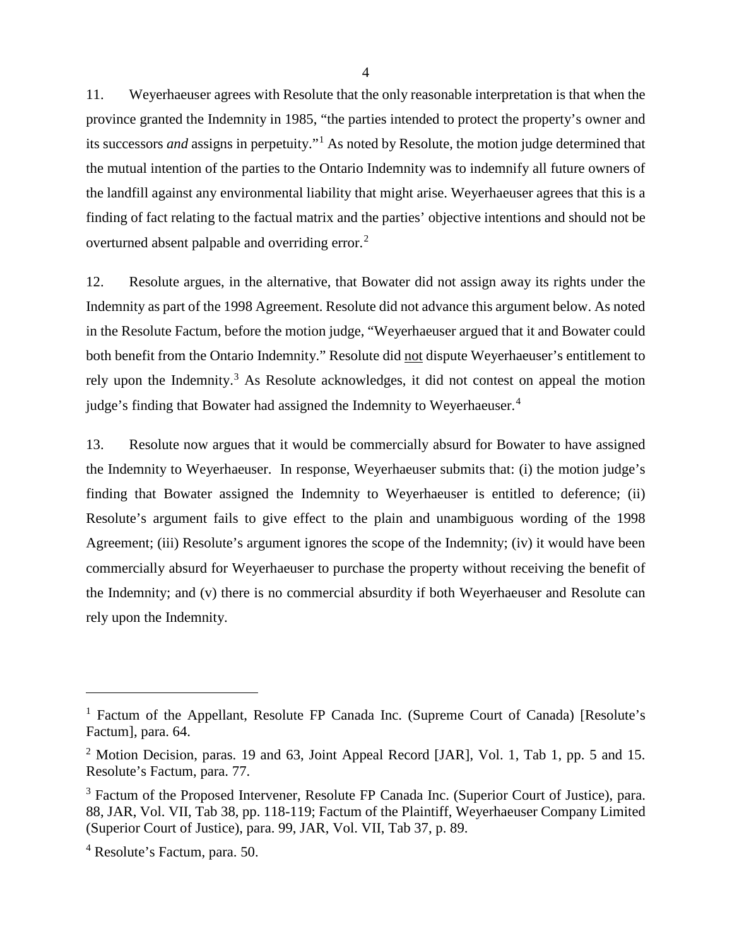11. Weyerhaeuser agrees with Resolute that the only reasonable interpretation is that when the province granted the Indemnity in 1985, "the parties intended to protect the property's owner and its successors *and* assigns in perpetuity."[1](#page-7-0) As noted by Resolute, the motion judge determined that the mutual intention of the parties to the Ontario Indemnity was to indemnify all future owners of the landfill against any environmental liability that might arise. Weyerhaeuser agrees that this is a finding of fact relating to the factual matrix and the parties' objective intentions and should not be overturned absent palpable and overriding error.<sup>[2](#page-7-1)</sup>

12. Resolute argues, in the alternative, that Bowater did not assign away its rights under the Indemnity as part of the 1998 Agreement. Resolute did not advance this argument below. As noted in the Resolute Factum, before the motion judge, "Weyerhaeuser argued that it and Bowater could both benefit from the Ontario Indemnity." Resolute did not dispute Weyerhaeuser's entitlement to rely upon the Indemnity.<sup>[3](#page-7-2)</sup> As Resolute acknowledges, it did not contest on appeal the motion judge's finding that Bowater had assigned the Indemnity to Weyerhaeuser.<sup>[4](#page-7-3)</sup>

13. Resolute now argues that it would be commercially absurd for Bowater to have assigned the Indemnity to Weyerhaeuser. In response, Weyerhaeuser submits that: (i) the motion judge's finding that Bowater assigned the Indemnity to Weyerhaeuser is entitled to deference; (ii) Resolute's argument fails to give effect to the plain and unambiguous wording of the 1998 Agreement; (iii) Resolute's argument ignores the scope of the Indemnity; (iv) it would have been commercially absurd for Weyerhaeuser to purchase the property without receiving the benefit of the Indemnity; and (v) there is no commercial absurdity if both Weyerhaeuser and Resolute can rely upon the Indemnity.

<span id="page-7-0"></span><sup>&</sup>lt;sup>1</sup> Factum of the Appellant, Resolute FP Canada Inc. (Supreme Court of Canada) [Resolute's Factum], para. 64.

<span id="page-7-1"></span><sup>&</sup>lt;sup>2</sup> Motion Decision, paras. 19 and 63, Joint Appeal Record [JAR], Vol. 1, Tab 1, pp. 5 and 15. Resolute's Factum, para. 77.

<span id="page-7-2"></span><sup>&</sup>lt;sup>3</sup> Factum of the Proposed Intervener, Resolute FP Canada Inc. (Superior Court of Justice), para. 88, JAR, Vol. VII, Tab 38, pp. 118-119; Factum of the Plaintiff, Weyerhaeuser Company Limited (Superior Court of Justice), para. 99, JAR, Vol. VII, Tab 37, p. 89.

<span id="page-7-3"></span><sup>4</sup> Resolute's Factum, para. 50.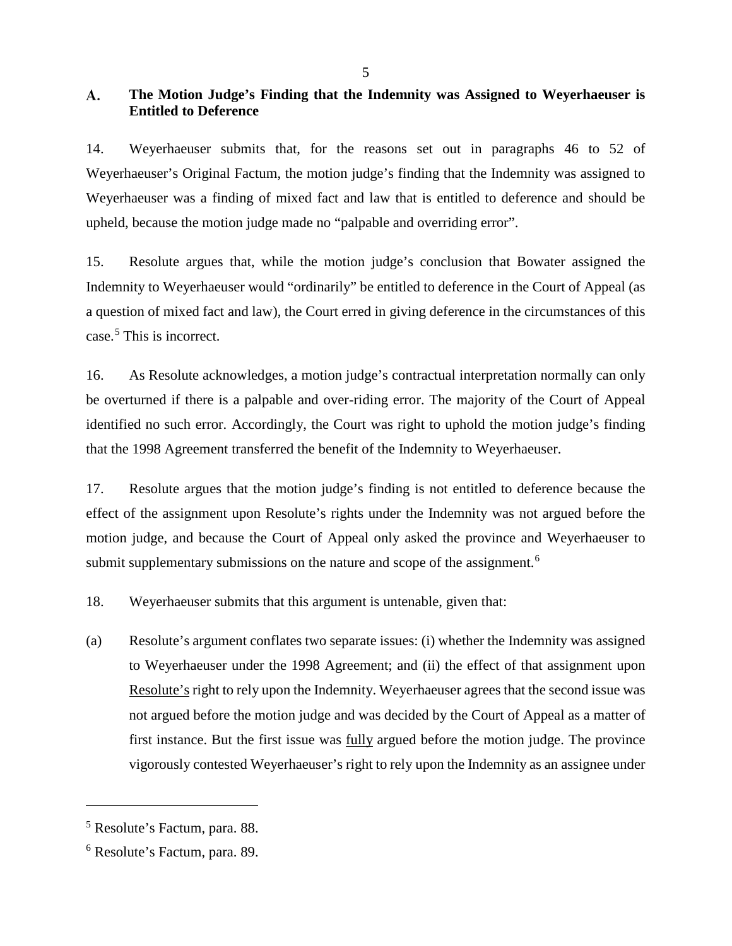#### <span id="page-8-0"></span>A. **The Motion Judge's Finding that the Indemnity was Assigned to Weyerhaeuser is Entitled to Deference**

14. Weyerhaeuser submits that, for the reasons set out in paragraphs 46 to 52 of Weyerhaeuser's Original Factum, the motion judge's finding that the Indemnity was assigned to Weyerhaeuser was a finding of mixed fact and law that is entitled to deference and should be upheld, because the motion judge made no "palpable and overriding error".

15. Resolute argues that, while the motion judge's conclusion that Bowater assigned the Indemnity to Weyerhaeuser would "ordinarily" be entitled to deference in the Court of Appeal (as a question of mixed fact and law), the Court erred in giving deference in the circumstances of this case. [5](#page-8-1) This is incorrect.

16. As Resolute acknowledges, a motion judge's contractual interpretation normally can only be overturned if there is a palpable and over-riding error. The majority of the Court of Appeal identified no such error. Accordingly, the Court was right to uphold the motion judge's finding that the 1998 Agreement transferred the benefit of the Indemnity to Weyerhaeuser.

17. Resolute argues that the motion judge's finding is not entitled to deference because the effect of the assignment upon Resolute's rights under the Indemnity was not argued before the motion judge, and because the Court of Appeal only asked the province and Weyerhaeuser to submit supplementary submissions on the nature and scope of the assignment.<sup>[6](#page-8-2)</sup>

18. Weyerhaeuser submits that this argument is untenable, given that:

(a) Resolute's argument conflates two separate issues: (i) whether the Indemnity was assigned to Weyerhaeuser under the 1998 Agreement; and (ii) the effect of that assignment upon Resolute's right to rely upon the Indemnity. Weyerhaeuser agrees that the second issue was not argued before the motion judge and was decided by the Court of Appeal as a matter of first instance. But the first issue was <u>fully</u> argued before the motion judge. The province vigorously contested Weyerhaeuser's right to rely upon the Indemnity as an assignee under

<span id="page-8-1"></span><sup>5</sup> Resolute's Factum, para. 88.

<span id="page-8-2"></span><sup>6</sup> Resolute's Factum, para. 89.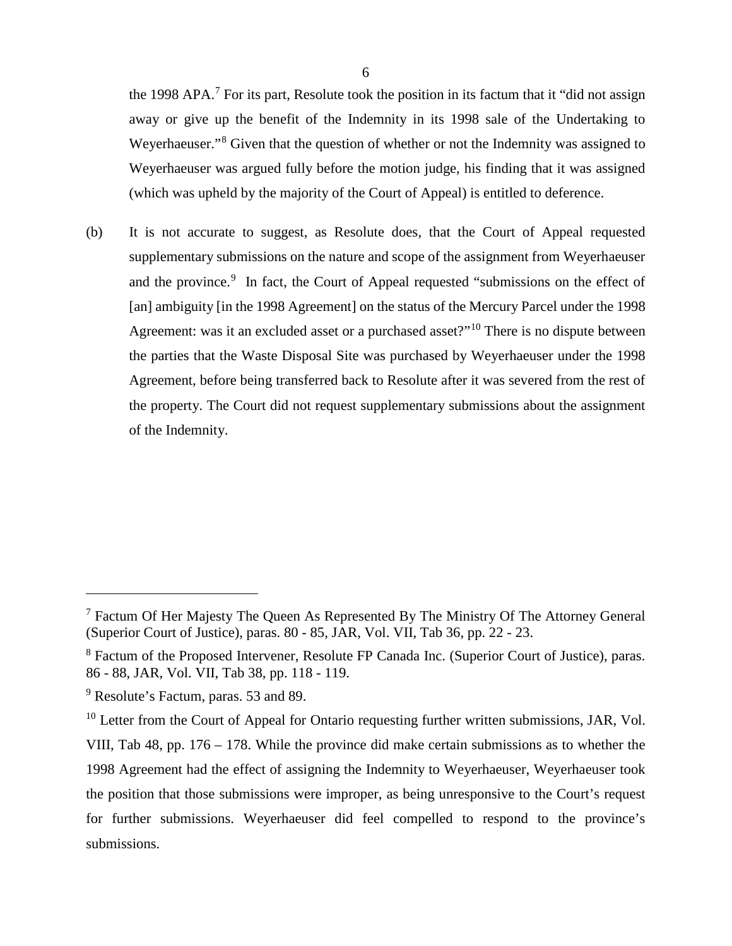the 1998 APA.<sup>[7](#page-9-0)</sup> For its part, Resolute took the position in its factum that it "did not assign away or give up the benefit of the Indemnity in its 1998 sale of the Undertaking to Weyerhaeuser."<sup>[8](#page-9-1)</sup> Given that the question of whether or not the Indemnity was assigned to Weyerhaeuser was argued fully before the motion judge, his finding that it was assigned (which was upheld by the majority of the Court of Appeal) is entitled to deference.

(b) It is not accurate to suggest, as Resolute does, that the Court of Appeal requested supplementary submissions on the nature and scope of the assignment from Weyerhaeuser and the province.<sup>[9](#page-9-2)</sup> In fact, the Court of Appeal requested "submissions on the effect of [an] ambiguity [in the 1998 Agreement] on the status of the Mercury Parcel under the 1998 Agreement: was it an excluded asset or a purchased asset?"<sup>[10](#page-9-3)</sup> There is no dispute between the parties that the Waste Disposal Site was purchased by Weyerhaeuser under the 1998 Agreement, before being transferred back to Resolute after it was severed from the rest of the property. The Court did not request supplementary submissions about the assignment of the Indemnity.

<span id="page-9-0"></span><sup>7</sup> Factum Of Her Majesty The Queen As Represented By The Ministry Of The Attorney General (Superior Court of Justice), paras. 80 - 85, JAR, Vol. VII, Tab 36, pp. 22 - 23.

<span id="page-9-1"></span><sup>8</sup> Factum of the Proposed Intervener, Resolute FP Canada Inc. (Superior Court of Justice), paras. 86 - 88, JAR, Vol. VII, Tab 38, pp. 118 - 119.

<span id="page-9-2"></span><sup>&</sup>lt;sup>9</sup> Resolute's Factum, paras. 53 and 89.

<span id="page-9-3"></span><sup>&</sup>lt;sup>10</sup> Letter from the Court of Appeal for Ontario requesting further written submissions, JAR, Vol. VIII, Tab 48, pp. 176 – 178. While the province did make certain submissions as to whether the 1998 Agreement had the effect of assigning the Indemnity to Weyerhaeuser, Weyerhaeuser took the position that those submissions were improper, as being unresponsive to the Court's request for further submissions. Weyerhaeuser did feel compelled to respond to the province's submissions.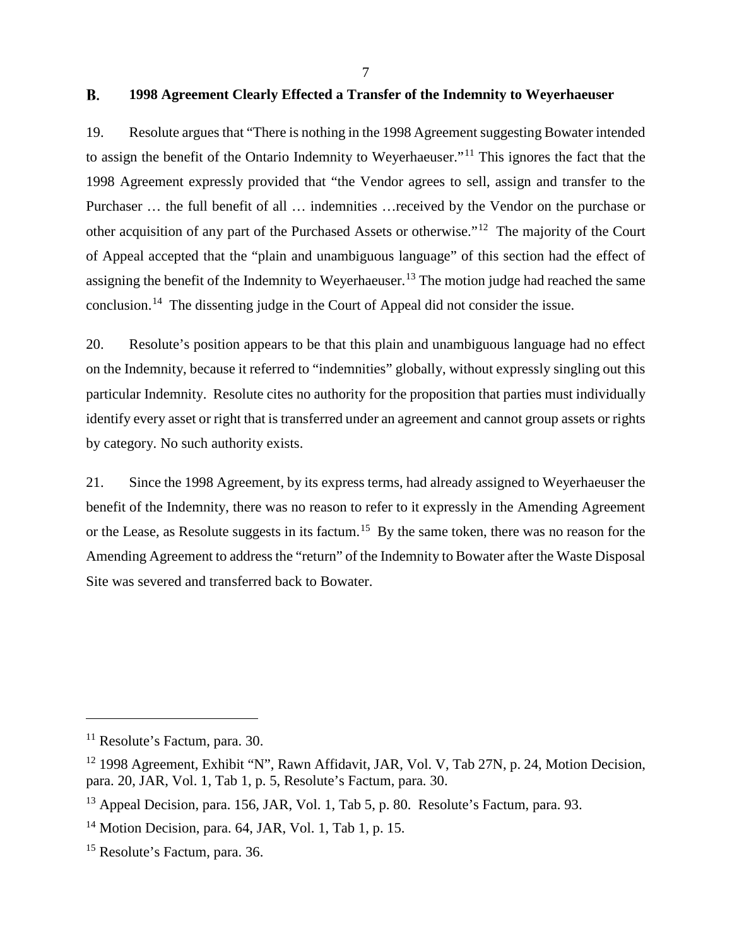#### <span id="page-10-0"></span> $\bf{B}$ . **1998 Agreement Clearly Effected a Transfer of the Indemnity to Weyerhaeuser**

19. Resolute argues that "There is nothing in the 1998 Agreement suggesting Bowater intended to assign the benefit of the Ontario Indemnity to Weyerhaeuser."[11](#page-10-1) This ignores the fact that the 1998 Agreement expressly provided that "the Vendor agrees to sell, assign and transfer to the Purchaser … the full benefit of all … indemnities …received by the Vendor on the purchase or other acquisition of any part of the Purchased Assets or otherwise."[12](#page-10-2) The majority of the Court of Appeal accepted that the "plain and unambiguous language" of this section had the effect of assigning the benefit of the Indemnity to Weyerhaeuser.<sup>[13](#page-10-3)</sup> The motion judge had reached the same conclusion.[14](#page-10-4) The dissenting judge in the Court of Appeal did not consider the issue.

20. Resolute's position appears to be that this plain and unambiguous language had no effect on the Indemnity, because it referred to "indemnities" globally, without expressly singling out this particular Indemnity. Resolute cites no authority for the proposition that parties must individually identify every asset or right that is transferred under an agreement and cannot group assets or rights by category. No such authority exists.

21. Since the 1998 Agreement, by its express terms, had already assigned to Weyerhaeuser the benefit of the Indemnity, there was no reason to refer to it expressly in the Amending Agreement or the Lease, as Resolute suggests in its factum.<sup>15</sup> By the same token, there was no reason for the Amending Agreement to address the "return" of the Indemnity to Bowater after the Waste Disposal Site was severed and transferred back to Bowater.

<span id="page-10-1"></span><sup>&</sup>lt;sup>11</sup> Resolute's Factum, para. 30.

<span id="page-10-2"></span><sup>&</sup>lt;sup>12</sup> 1998 Agreement, Exhibit "N", Rawn Affidavit, JAR, Vol. V, Tab 27N, p. 24, Motion Decision, para. 20, JAR, Vol. 1, Tab 1, p. 5, Resolute's Factum, para. 30.

<span id="page-10-3"></span><sup>&</sup>lt;sup>13</sup> Appeal Decision, para. 156, JAR, Vol. 1, Tab 5, p. 80. Resolute's Factum, para. 93.

<span id="page-10-4"></span> $14$  Motion Decision, para. 64, JAR, Vol. 1, Tab 1, p. 15.

<span id="page-10-5"></span><sup>15</sup> Resolute's Factum, para. 36.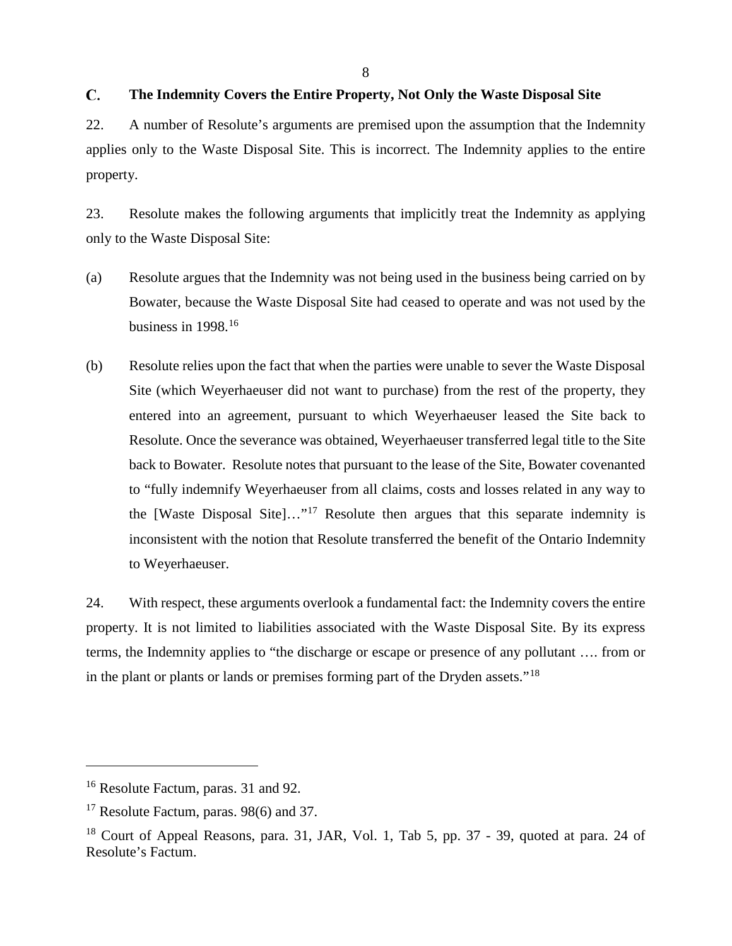#### <span id="page-11-0"></span>C. **The Indemnity Covers the Entire Property, Not Only the Waste Disposal Site**

22. A number of Resolute's arguments are premised upon the assumption that the Indemnity applies only to the Waste Disposal Site. This is incorrect. The Indemnity applies to the entire property.

23. Resolute makes the following arguments that implicitly treat the Indemnity as applying only to the Waste Disposal Site:

- (a) Resolute argues that the Indemnity was not being used in the business being carried on by Bowater, because the Waste Disposal Site had ceased to operate and was not used by the business in  $1998$ <sup>[16](#page-11-1)</sup>
- (b) Resolute relies upon the fact that when the parties were unable to sever the Waste Disposal Site (which Weyerhaeuser did not want to purchase) from the rest of the property, they entered into an agreement, pursuant to which Weyerhaeuser leased the Site back to Resolute. Once the severance was obtained, Weyerhaeuser transferred legal title to the Site back to Bowater. Resolute notes that pursuant to the lease of the Site, Bowater covenanted to "fully indemnify Weyerhaeuser from all claims, costs and losses related in any way to the [Waste Disposal Site]..."<sup>[17](#page-11-2)</sup> Resolute then argues that this separate indemnity is inconsistent with the notion that Resolute transferred the benefit of the Ontario Indemnity to Weyerhaeuser.

24. With respect, these arguments overlook a fundamental fact: the Indemnity covers the entire property. It is not limited to liabilities associated with the Waste Disposal Site. By its express terms, the Indemnity applies to "the discharge or escape or presence of any pollutant …. from or in the plant or plants or lands or premises forming part of the Dryden assets."[18](#page-11-3)

<span id="page-11-1"></span><sup>16</sup> Resolute Factum, paras. 31 and 92.

<span id="page-11-2"></span><sup>&</sup>lt;sup>17</sup> Resolute Factum, paras. 98(6) and 37.

<span id="page-11-3"></span> $18$  Court of Appeal Reasons, para. 31, JAR, Vol. 1, Tab 5, pp. 37 - 39, quoted at para. 24 of Resolute's Factum.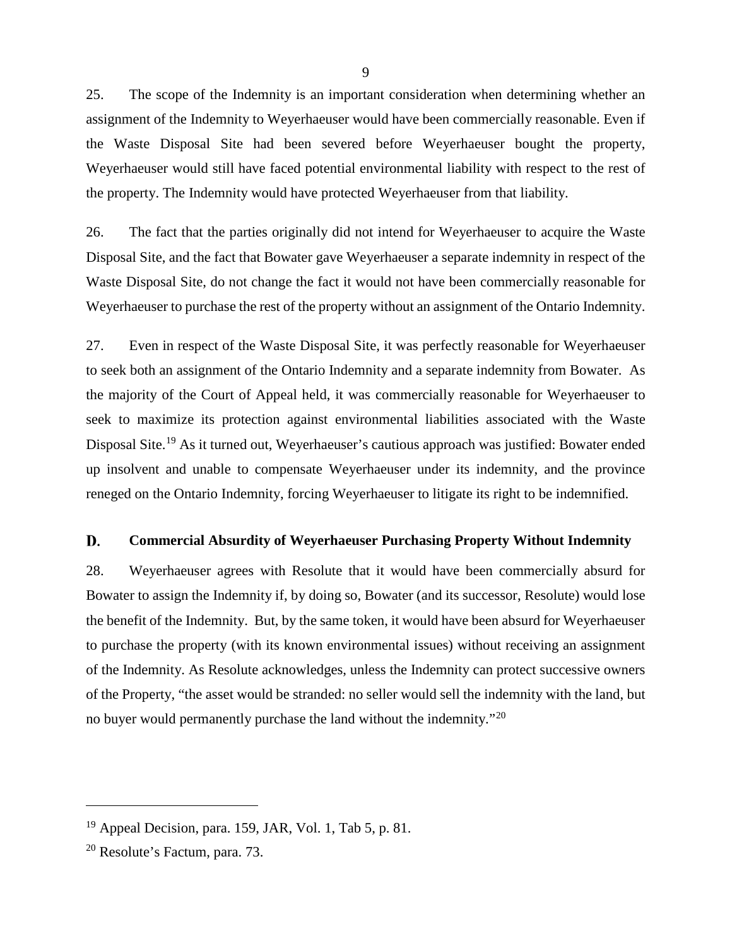25. The scope of the Indemnity is an important consideration when determining whether an assignment of the Indemnity to Weyerhaeuser would have been commercially reasonable. Even if the Waste Disposal Site had been severed before Weyerhaeuser bought the property, Weyerhaeuser would still have faced potential environmental liability with respect to the rest of the property. The Indemnity would have protected Weyerhaeuser from that liability.

26. The fact that the parties originally did not intend for Weyerhaeuser to acquire the Waste Disposal Site, and the fact that Bowater gave Weyerhaeuser a separate indemnity in respect of the Waste Disposal Site, do not change the fact it would not have been commercially reasonable for Weyerhaeuser to purchase the rest of the property without an assignment of the Ontario Indemnity.

27. Even in respect of the Waste Disposal Site, it was perfectly reasonable for Weyerhaeuser to seek both an assignment of the Ontario Indemnity and a separate indemnity from Bowater. As the majority of the Court of Appeal held, it was commercially reasonable for Weyerhaeuser to seek to maximize its protection against environmental liabilities associated with the Waste Disposal Site.<sup>[19](#page-12-1)</sup> As it turned out, Weyerhaeuser's cautious approach was justified: Bowater ended up insolvent and unable to compensate Weyerhaeuser under its indemnity, and the province reneged on the Ontario Indemnity, forcing Weyerhaeuser to litigate its right to be indemnified.

#### <span id="page-12-0"></span>D. **Commercial Absurdity of Weyerhaeuser Purchasing Property Without Indemnity**

28. Weyerhaeuser agrees with Resolute that it would have been commercially absurd for Bowater to assign the Indemnity if, by doing so, Bowater (and its successor, Resolute) would lose the benefit of the Indemnity. But, by the same token, it would have been absurd for Weyerhaeuser to purchase the property (with its known environmental issues) without receiving an assignment of the Indemnity. As Resolute acknowledges, unless the Indemnity can protect successive owners of the Property, "the asset would be stranded: no seller would sell the indemnity with the land, but no buyer would permanently purchase the land without the indemnity.<sup>"[20](#page-12-2)</sup>

<span id="page-12-1"></span> $19$  Appeal Decision, para. 159, JAR, Vol. 1, Tab 5, p. 81.

<span id="page-12-2"></span><sup>20</sup> Resolute's Factum, para. 73.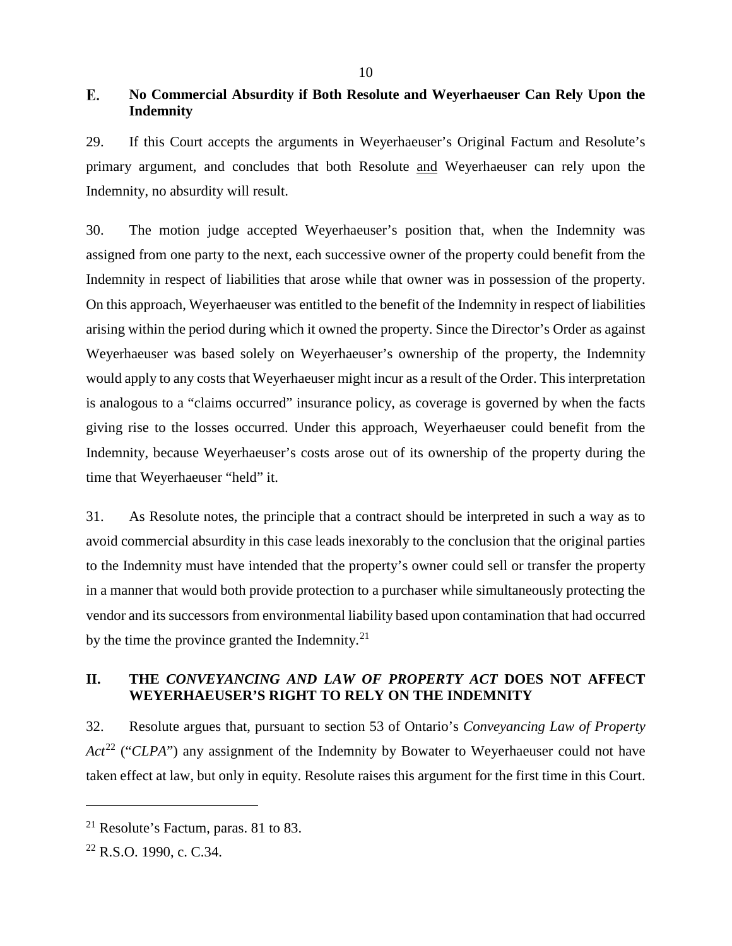#### <span id="page-13-0"></span>E. **No Commercial Absurdity if Both Resolute and Weyerhaeuser Can Rely Upon the Indemnity**

29. If this Court accepts the arguments in Weyerhaeuser's Original Factum and Resolute's primary argument, and concludes that both Resolute and Weyerhaeuser can rely upon the Indemnity, no absurdity will result.

30. The motion judge accepted Weyerhaeuser's position that, when the Indemnity was assigned from one party to the next, each successive owner of the property could benefit from the Indemnity in respect of liabilities that arose while that owner was in possession of the property. On this approach, Weyerhaeuser was entitled to the benefit of the Indemnity in respect of liabilities arising within the period during which it owned the property. Since the Director's Order as against Weyerhaeuser was based solely on Weyerhaeuser's ownership of the property, the Indemnity would apply to any costs that Weyerhaeuser might incur as a result of the Order. This interpretation is analogous to a "claims occurred" insurance policy, as coverage is governed by when the facts giving rise to the losses occurred. Under this approach, Weyerhaeuser could benefit from the Indemnity, because Weyerhaeuser's costs arose out of its ownership of the property during the time that Weyerhaeuser "held" it.

31. As Resolute notes, the principle that a contract should be interpreted in such a way as to avoid commercial absurdity in this case leads inexorably to the conclusion that the original parties to the Indemnity must have intended that the property's owner could sell or transfer the property in a manner that would both provide protection to a purchaser while simultaneously protecting the vendor and its successors from environmental liability based upon contamination that had occurred by the time the province granted the Indemnity.<sup>[21](#page-13-2)</sup>

## <span id="page-13-1"></span>**II. THE** *CONVEYANCING AND LAW OF PROPERTY ACT* **DOES NOT AFFECT WEYERHAEUSER'S RIGHT TO RELY ON THE INDEMNITY**

32. Resolute argues that, pursuant to section 53 of Ontario's *Conveyancing Law of Property Act*<sup>[22](#page-13-3)</sup> ("*CLPA*") any assignment of the Indemnity by Bowater to Weyerhaeuser could not have taken effect at law, but only in equity. Resolute raises this argument for the first time in this Court.

<span id="page-13-2"></span> $21$  Resolute's Factum, paras. 81 to 83.

<span id="page-13-3"></span><sup>22</sup> R.S.O. 1990, c. C.34.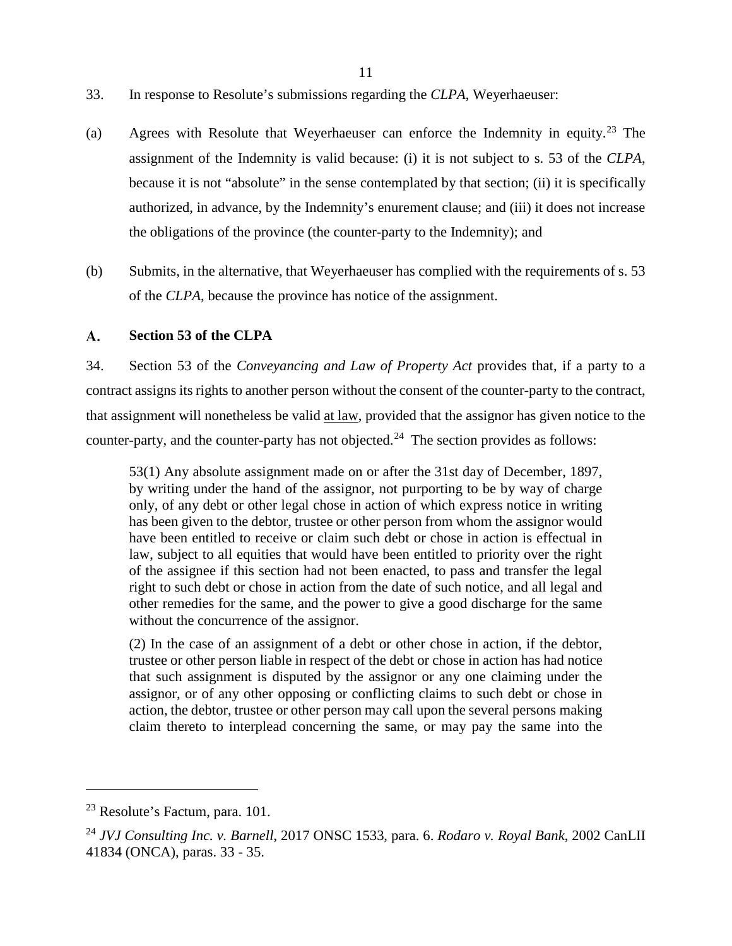- 11
- 33. In response to Resolute's submissions regarding the *CLPA*, Weyerhaeuser:
- (a) Agrees with Resolute that Weyerhaeuser can enforce the Indemnity in equity. [23](#page-14-1) The assignment of the Indemnity is valid because: (i) it is not subject to s. 53 of the *CLPA*, because it is not "absolute" in the sense contemplated by that section; (ii) it is specifically authorized, in advance, by the Indemnity's enurement clause; and (iii) it does not increase the obligations of the province (the counter-party to the Indemnity); and
- (b) Submits, in the alternative, that Weyerhaeuser has complied with the requirements of s. 53 of the *CLPA*, because the province has notice of the assignment.

#### <span id="page-14-0"></span>**A. Section 53 of the CLPA**

34. Section 53 of the *Conveyancing and Law of Property Act* provides that, if a party to a contract assigns its rights to another person without the consent of the counter-party to the contract, that assignment will nonetheless be valid at law, provided that the assignor has given notice to the counter-party, and the counter-party has not objected.<sup>24</sup> The section provides as follows:

53(1) Any absolute assignment made on or after the 31st day of December, 1897, by writing under the hand of the assignor, not purporting to be by way of charge only, of any debt or other legal chose in action of which express notice in writing has been given to the debtor, trustee or other person from whom the assignor would have been entitled to receive or claim such debt or chose in action is effectual in law, subject to all equities that would have been entitled to priority over the right of the assignee if this section had not been enacted, to pass and transfer the legal right to such debt or chose in action from the date of such notice, and all legal and other remedies for the same, and the power to give a good discharge for the same without the concurrence of the assignor.

(2) In the case of an assignment of a debt or other chose in action, if the debtor, trustee or other person liable in respect of the debt or chose in action has had notice that such assignment is disputed by the assignor or any one claiming under the assignor, or of any other opposing or conflicting claims to such debt or chose in action, the debtor, trustee or other person may call upon the several persons making claim thereto to interplead concerning the same, or may pay the same into the

<span id="page-14-1"></span><sup>23</sup> Resolute's Factum, para. 101.

<span id="page-14-2"></span><sup>24</sup> *JVJ Consulting Inc. v. Barnell*, 2017 ONSC 1533, para. 6. *Rodaro v. Royal Bank*, 2002 CanLII 41834 (ONCA), paras. 33 - 35.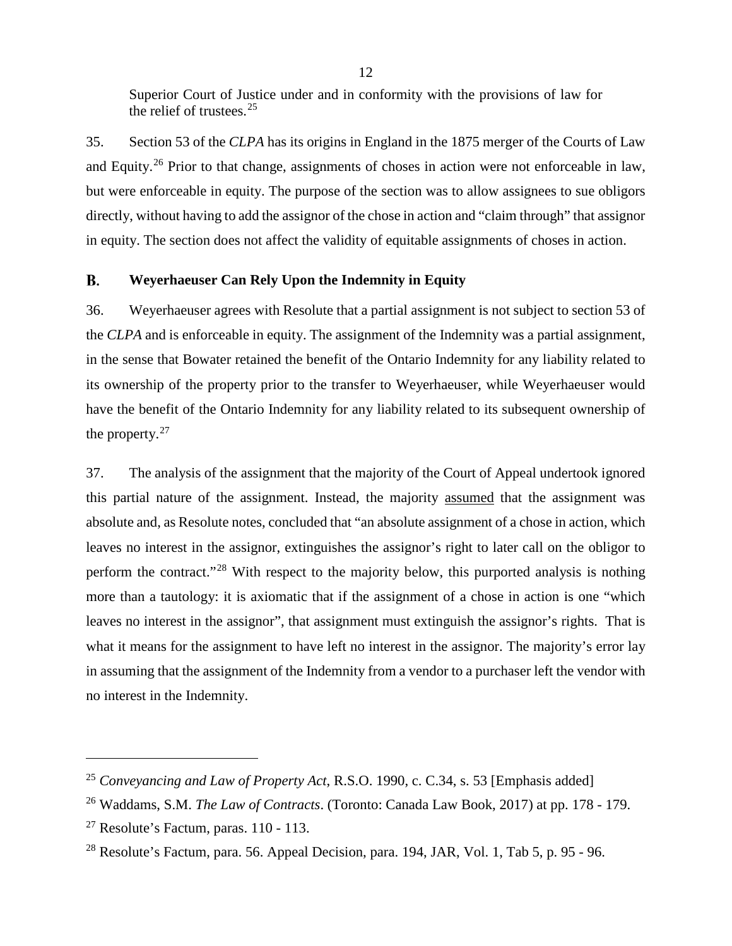Superior Court of Justice under and in conformity with the provisions of law for the relief of trustees.  $25$ 

35. Section 53 of the *CLPA* has its origins in England in the 1875 merger of the Courts of Law and Equity.[26](#page-15-2) Prior to that change, assignments of choses in action were not enforceable in law, but were enforceable in equity. The purpose of the section was to allow assignees to sue obligors directly, without having to add the assignor of the chose in action and "claim through" that assignor in equity. The section does not affect the validity of equitable assignments of choses in action.

#### <span id="page-15-0"></span>**B. Weyerhaeuser Can Rely Upon the Indemnity in Equity**

36. Weyerhaeuser agrees with Resolute that a partial assignment is not subject to section 53 of the *CLPA* and is enforceable in equity. The assignment of the Indemnity was a partial assignment, in the sense that Bowater retained the benefit of the Ontario Indemnity for any liability related to its ownership of the property prior to the transfer to Weyerhaeuser, while Weyerhaeuser would have the benefit of the Ontario Indemnity for any liability related to its subsequent ownership of the property. $27$ 

37. The analysis of the assignment that the majority of the Court of Appeal undertook ignored this partial nature of the assignment. Instead, the majority assumed that the assignment was absolute and, as Resolute notes, concluded that "an absolute assignment of a chose in action, which leaves no interest in the assignor, extinguishes the assignor's right to later call on the obligor to perform the contract."[28](#page-15-4) With respect to the majority below, this purported analysis is nothing more than a tautology: it is axiomatic that if the assignment of a chose in action is one "which leaves no interest in the assignor", that assignment must extinguish the assignor's rights. That is what it means for the assignment to have left no interest in the assignor. The majority's error lay in assuming that the assignment of the Indemnity from a vendor to a purchaser left the vendor with no interest in the Indemnity.

<span id="page-15-1"></span><sup>25</sup> *Conveyancing and Law of Property Act*, R.S.O. 1990, c. C.34, s. 53 [Emphasis added]

<span id="page-15-2"></span><sup>26</sup> Waddams, S.M. *The Law of Contracts*. (Toronto: Canada Law Book, 2017) at pp. 178 - 179.

<span id="page-15-3"></span> $27$  Resolute's Factum, paras. 110 - 113.

<span id="page-15-4"></span><sup>&</sup>lt;sup>28</sup> Resolute's Factum, para. 56. Appeal Decision, para. 194, JAR, Vol. 1, Tab 5, p. 95 - 96.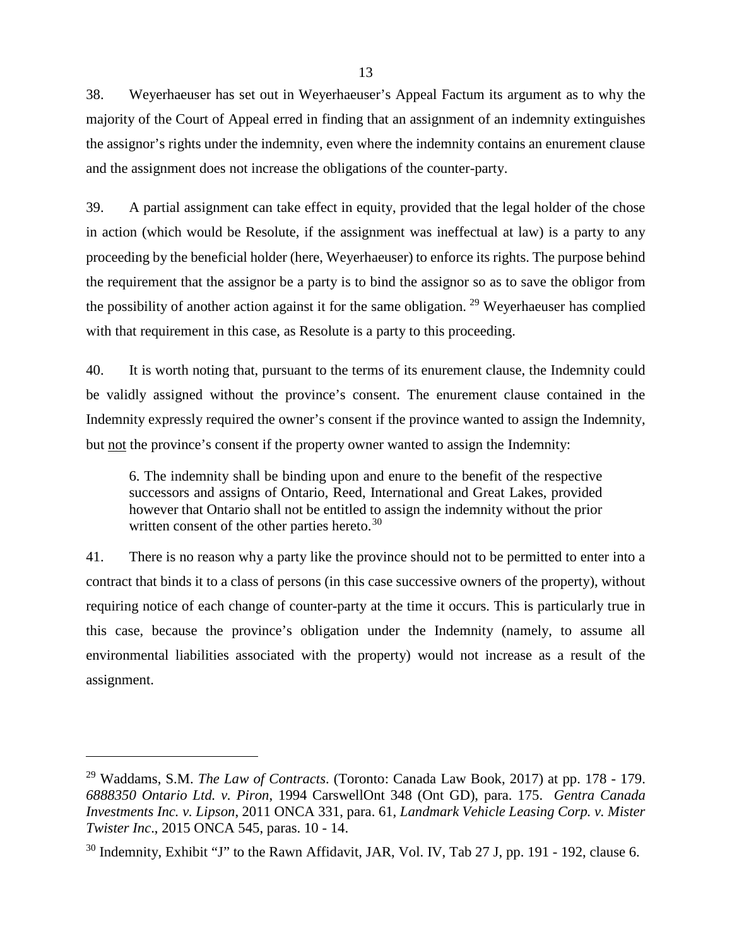38. Weyerhaeuser has set out in Weyerhaeuser's Appeal Factum its argument as to why the majority of the Court of Appeal erred in finding that an assignment of an indemnity extinguishes the assignor's rights under the indemnity, even where the indemnity contains an enurement clause and the assignment does not increase the obligations of the counter-party.

39. A partial assignment can take effect in equity, provided that the legal holder of the chose in action (which would be Resolute, if the assignment was ineffectual at law) is a party to any proceeding by the beneficial holder (here, Weyerhaeuser) to enforce its rights. The purpose behind the requirement that the assignor be a party is to bind the assignor so as to save the obligor from the possibility of another action against it for the same obligation. [29](#page-16-0) Weyerhaeuser has complied with that requirement in this case, as Resolute is a party to this proceeding.

40. It is worth noting that, pursuant to the terms of its enurement clause, the Indemnity could be validly assigned without the province's consent. The enurement clause contained in the Indemnity expressly required the owner's consent if the province wanted to assign the Indemnity, but not the province's consent if the property owner wanted to assign the Indemnity:

6. The indemnity shall be binding upon and enure to the benefit of the respective successors and assigns of Ontario, Reed, International and Great Lakes, provided however that Ontario shall not be entitled to assign the indemnity without the prior written consent of the other parties hereto.<sup>[30](#page-16-1)</sup>

41. There is no reason why a party like the province should not to be permitted to enter into a contract that binds it to a class of persons (in this case successive owners of the property), without requiring notice of each change of counter-party at the time it occurs. This is particularly true in this case, because the province's obligation under the Indemnity (namely, to assume all environmental liabilities associated with the property) would not increase as a result of the assignment.

<span id="page-16-0"></span><sup>29</sup> Waddams, S.M. *The Law of Contracts*. (Toronto: Canada Law Book, 2017) at pp. 178 - 179. *6888350 Ontario Ltd. v. Piron*, 1994 CarswellOnt 348 (Ont GD), para. 175. *Gentra Canada Investments Inc. v. Lipson*, 2011 ONCA 331, para. 61, *Landmark Vehicle Leasing Corp. v. Mister Twister Inc*., 2015 ONCA 545, paras. 10 - 14.

<span id="page-16-1"></span><sup>&</sup>lt;sup>30</sup> Indemnity, Exhibit "J" to the Rawn Affidavit, JAR, Vol. IV, Tab 27 J, pp. 191 - 192, clause 6.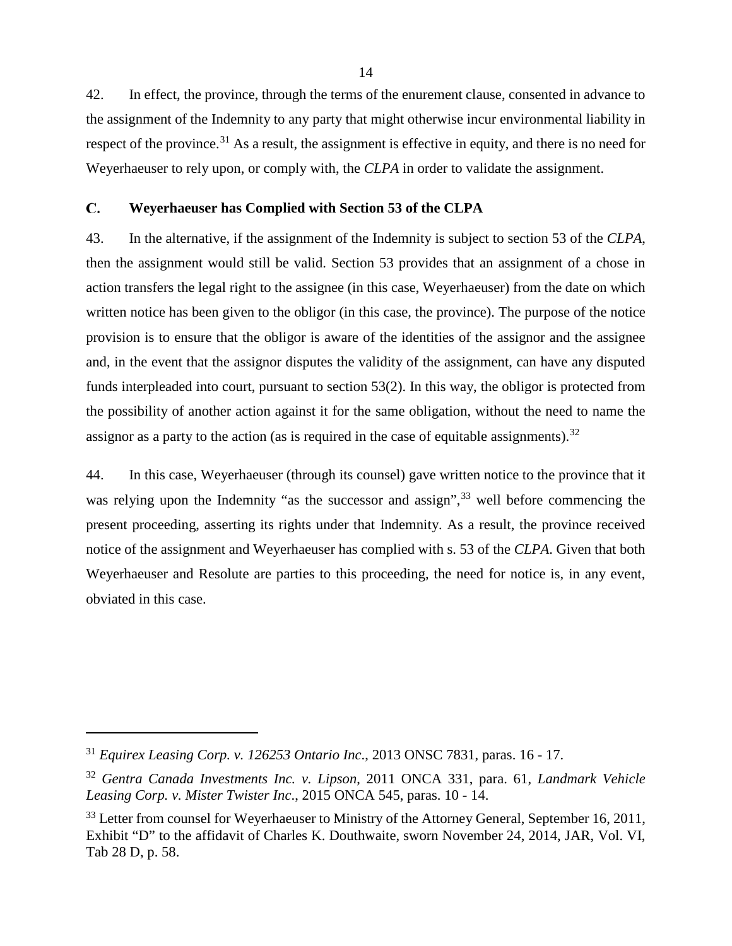42. In effect, the province, through the terms of the enurement clause, consented in advance to the assignment of the Indemnity to any party that might otherwise incur environmental liability in respect of the province.<sup>[31](#page-17-1)</sup> As a result, the assignment is effective in equity, and there is no need for Weyerhaeuser to rely upon, or comply with, the *CLPA* in order to validate the assignment.

#### <span id="page-17-0"></span>C. **Weyerhaeuser has Complied with Section 53 of the CLPA**

43. In the alternative, if the assignment of the Indemnity is subject to section 53 of the *CLPA*, then the assignment would still be valid. Section 53 provides that an assignment of a chose in action transfers the legal right to the assignee (in this case, Weyerhaeuser) from the date on which written notice has been given to the obligor (in this case, the province). The purpose of the notice provision is to ensure that the obligor is aware of the identities of the assignor and the assignee and, in the event that the assignor disputes the validity of the assignment, can have any disputed funds interpleaded into court, pursuant to section 53(2). In this way, the obligor is protected from the possibility of another action against it for the same obligation, without the need to name the assignor as a party to the action (as is required in the case of equitable assignments).<sup>[32](#page-17-2)</sup>

44. In this case, Weyerhaeuser (through its counsel) gave written notice to the province that it was relying upon the Indemnity "as the successor and assign",<sup>[33](#page-17-3)</sup> well before commencing the present proceeding, asserting its rights under that Indemnity. As a result, the province received notice of the assignment and Weyerhaeuser has complied with s. 53 of the *CLPA*. Given that both Weyerhaeuser and Resolute are parties to this proceeding, the need for notice is, in any event, obviated in this case.

<span id="page-17-1"></span><sup>31</sup> *Equirex Leasing Corp. v. 126253 Ontario Inc*., 2013 ONSC 7831, paras. 16 - 17.

<span id="page-17-2"></span><sup>32</sup> *Gentra Canada Investments Inc. v. Lipson*, 2011 ONCA 331, para. 61, *Landmark Vehicle Leasing Corp. v. Mister Twister Inc*., 2015 ONCA 545, paras. 10 - 14.

<span id="page-17-3"></span><sup>&</sup>lt;sup>33</sup> Letter from counsel for Weyerhaeuser to Ministry of the Attorney General, September 16, 2011, Exhibit "D" to the affidavit of Charles K. Douthwaite, sworn November 24, 2014, JAR, Vol. VI, Tab 28 D, p. 58.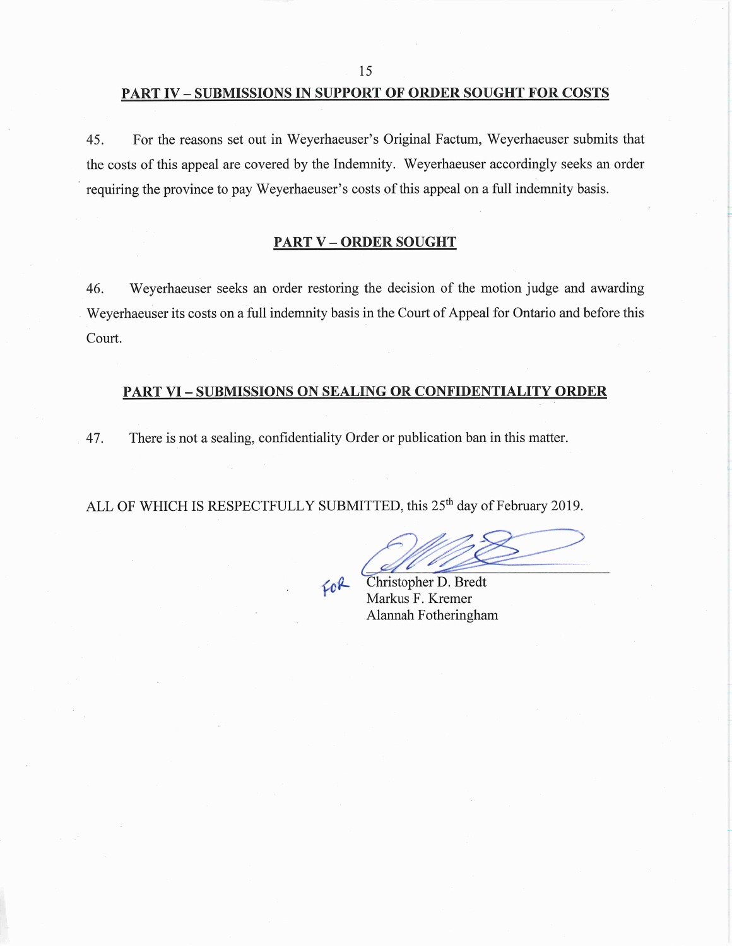#### **PART IV - SUBMISSIONS IN SUPPORT OF ORDER SOUGHT FOR COSTS**

For the reasons set out in Weyerhaeuser's Original Factum, Weyerhaeuser submits that 45. the costs of this appeal are covered by the Indemnity. Weyerhaeuser accordingly seeks an order requiring the province to pay Weyerhaeuser's costs of this appeal on a full indemnity basis.

#### **PART V-ORDER SOUGHT**

46. Weyerhaeuser seeks an order restoring the decision of the motion judge and awarding Weyerhaeuser its costs on a full indemnity basis in the Court of Appeal for Ontario and before this Court.

## **PART VI - SUBMISSIONS ON SEALING OR CONFIDENTIALITY ORDER**

There is not a sealing, confidentiality Order or publication ban in this matter. 47.

ALL OF WHICH IS RESPECTFULLY SUBMITTED, this 25<sup>th</sup> day of February 2019.

FOR

Christopher D. Bredt Markus F. Kremer Alannah Fotheringham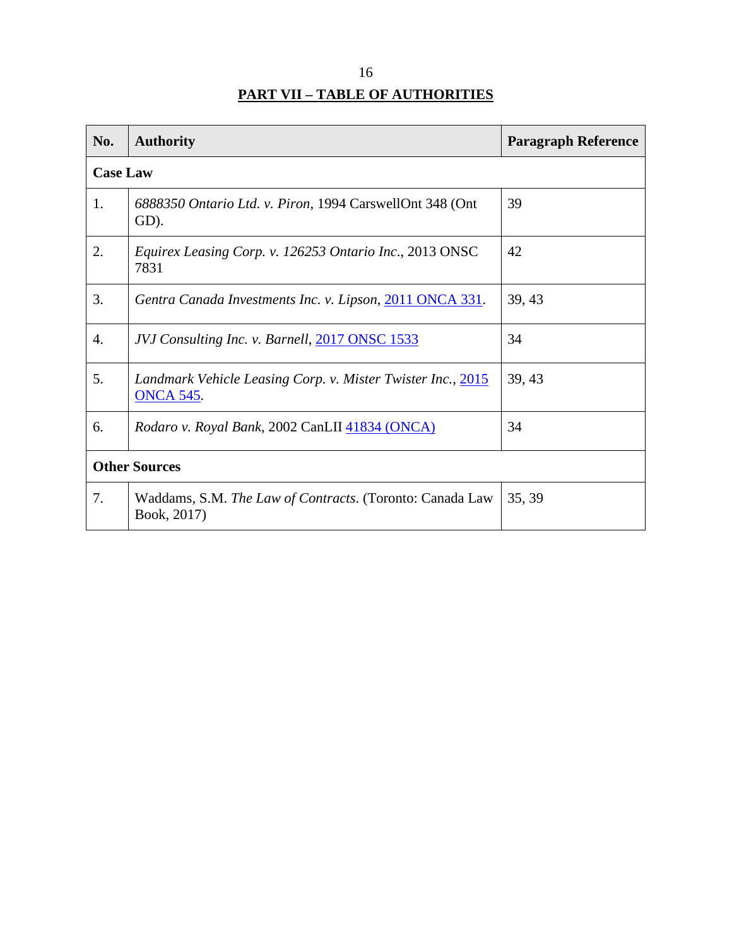| ΙD                                     |
|----------------------------------------|
| <b>PART VII - TABLE OF AUTHORITIES</b> |

<span id="page-19-0"></span>

| No.                  | <b>Authority</b>                                                                | <b>Paragraph Reference</b> |
|----------------------|---------------------------------------------------------------------------------|----------------------------|
| <b>Case Law</b>      |                                                                                 |                            |
| 1.                   | 6888350 Ontario Ltd. v. Piron, 1994 CarswellOnt 348 (Ont<br>GD).                | 39                         |
| 2.                   | Equirex Leasing Corp. v. 126253 Ontario Inc., 2013 ONSC<br>7831                 | 42                         |
| 3.                   | Gentra Canada Investments Inc. v. Lipson, 2011 ONCA 331.                        | 39, 43                     |
| 4.                   | JVJ Consulting Inc. v. Barnell, 2017 ONSC 1533                                  | 34                         |
| 5.                   | Landmark Vehicle Leasing Corp. v. Mister Twister Inc., 2015<br><b>ONCA 545.</b> | 39, 43                     |
| 6.                   | <i>Rodaro v. Royal Bank, 2002 CanLII 41834 (ONCA)</i>                           | 34                         |
| <b>Other Sources</b> |                                                                                 |                            |
| 7.                   | Waddams, S.M. The Law of Contracts. (Toronto: Canada Law<br>Book, 2017)         | 35, 39                     |